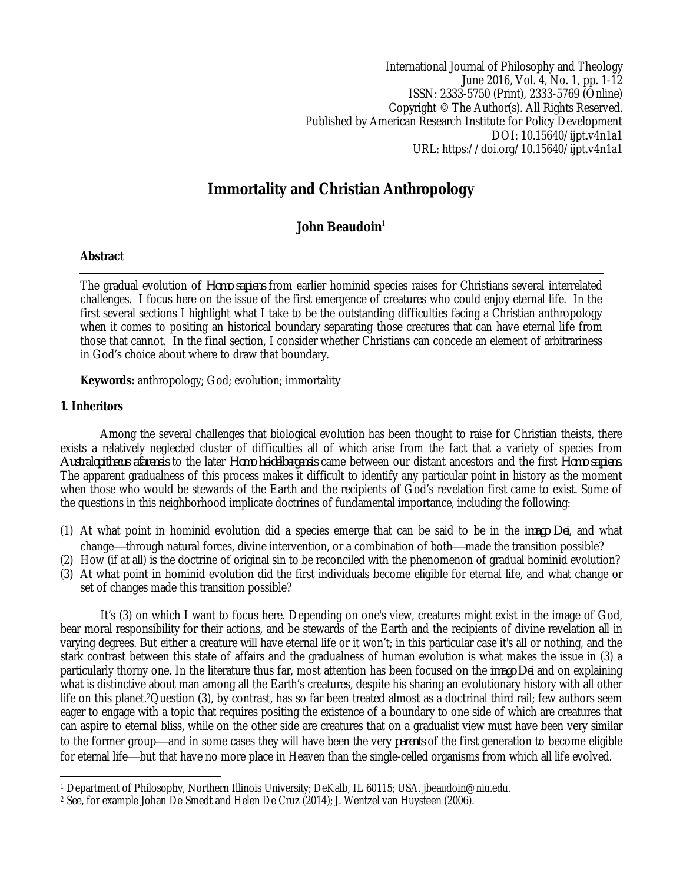International Journal of Philosophy and Theology June 2016, Vol. 4, No. 1, pp. 1-12 ISSN: 2333-5750 (Print), 2333-5769 (Online) Copyright © The Author(s). All Rights Reserved. Published by American Research Institute for Policy Development DOI: 10.15640/ijpt.v4n1a1 URL: https://doi.org/10.15640/ijpt.v4n1a1

# **Immortality and Christian Anthropology**

# John Beaudoin<sup>1</sup>

# **Abstract**

The gradual evolution of *Homo sapiens* from earlier hominid species raises for Christians several interrelated challenges. I focus here on the issue of the first emergence of creatures who could enjoy eternal life. In the first several sections I highlight what I take to be the outstanding difficulties facing a Christian anthropology when it comes to positing an historical boundary separating those creatures that can have eternal life from those that cannot. In the final section, I consider whether Christians can concede an element of arbitrariness in God's choice about where to draw that boundary.

**Keywords:** anthropology; God; evolution; immortality

# **1. Inheritors**

Among the several challenges that biological evolution has been thought to raise for Christian theists, there exists a relatively neglected cluster of difficulties all of which arise from the fact that a variety of species from *Australopithecus afarensis* to the later *Homo heidelbergensis* came between our distant ancestors and the first *Homo sapiens*. The apparent gradualness of this process makes it difficult to identify any particular point in history as the moment when those who would be stewards of the Earth and the recipients of God's revelation first came to exist. Some of the questions in this neighborhood implicate doctrines of fundamental importance, including the following:

- (1) At what point in hominid evolution did a species emerge that can be said to be in the *imago Dei*, and what change—through natural forces, divine intervention, or a combination of both—made the transition possible?
- (2) How (if at all) is the doctrine of original sin to be reconciled with the phenomenon of gradual hominid evolution?
- (3) At what point in hominid evolution did the first individuals become eligible for eternal life, and what change or set of changes made this transition possible?

It's (3) on which I want to focus here. Depending on one's view, creatures might exist in the image of God, bear moral responsibility for their actions, and be stewards of the Earth and the recipients of divine revelation all in varying degrees. But either a creature will have eternal life or it won't; in this particular case it's all or nothing, and the stark contrast between this state of affairs and the gradualness of human evolution is what makes the issue in (3) a particularly thorny one. In the literature thus far, most attention has been focused on the *imago Dei* and on explaining what is distinctive about man among all the Earth's creatures, despite his sharing an evolutionary history with all other life on this planet.2Question (3), by contrast, has so far been treated almost as a doctrinal third rail; few authors seem eager to engage with a topic that requires positing the existence of a boundary to one side of which are creatures that can aspire to eternal bliss, while on the other side are creatures that on a gradualist view must have been very similar to the former group—and in some cases they will have been the very *parents* of the first generation to become eligible for eternal life—but that have no more place in Heaven than the single-celled organisms from which all life evolved.

 $\overline{a}$ <sup>1</sup> Department of Philosophy, Northern Illinois University; DeKalb, IL 60115; USA. jbeaudoin@niu.edu.

<sup>2</sup> See, for example Johan De Smedt and Helen De Cruz (2014); J. Wentzel van Huysteen (2006).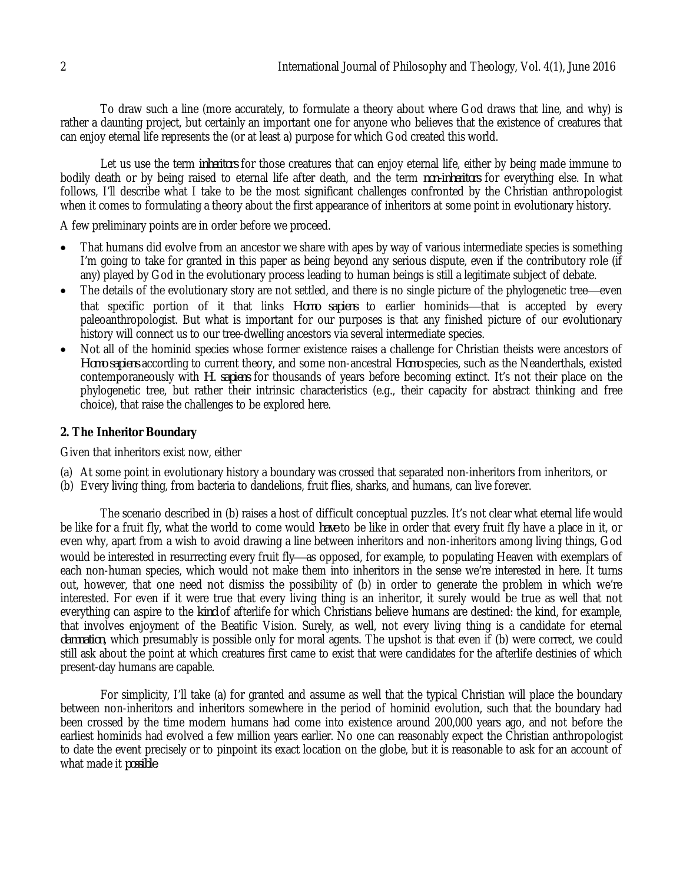To draw such a line (more accurately, to formulate a theory about where God draws that line, and why) is rather a daunting project, but certainly an important one for anyone who believes that the existence of creatures that can enjoy eternal life represents the (or at least a) purpose for which God created this world.

Let us use the term *inheritors* for those creatures that can enjoy eternal life, either by being made immune to bodily death or by being raised to eternal life after death, and the term *non-inheritors* for everything else. In what follows, I'll describe what I take to be the most significant challenges confronted by the Christian anthropologist when it comes to formulating a theory about the first appearance of inheritors at some point in evolutionary history.

A few preliminary points are in order before we proceed.

- That humans did evolve from an ancestor we share with apes by way of various intermediate species is something I'm going to take for granted in this paper as being beyond any serious dispute, even if the contributory role (if any) played by God in the evolutionary process leading to human beings is still a legitimate subject of debate.
- The details of the evolutionary story are not settled, and there is no single picture of the phylogenetic tree—even that specific portion of it that links Homo sapiens to earlier hominids—that is accepted by every paleoanthropologist. But what is important for our purposes is that any finished picture of our evolutionary history will connect us to our tree-dwelling ancestors via several intermediate species.
- Not all of the hominid species whose former existence raises a challenge for Christian theists were ancestors of *Homo sapiens* according to current theory, and some non-ancestral *Homo* species, such as the Neanderthals, existed contemporaneously with *H. sapiens* for thousands of years before becoming extinct. It's not their place on the phylogenetic tree, but rather their intrinsic characteristics (e.g., their capacity for abstract thinking and free choice), that raise the challenges to be explored here.

# **2. The Inheritor Boundary**

Given that inheritors exist now, either

- (a) At some point in evolutionary history a boundary was crossed that separated non-inheritors from inheritors, or
- (b) Every living thing, from bacteria to dandelions, fruit flies, sharks, and humans, can live forever.

The scenario described in (b) raises a host of difficult conceptual puzzles. It's not clear what eternal life would be like for a fruit fly, what the world to come would *have* to be like in order that every fruit fly have a place in it, or even why, apart from a wish to avoid drawing a line between inheritors and non-inheritors among living things, God would be interested in resurrecting every fruit fly-as opposed, for example, to populating Heaven with exemplars of each non-human species, which would not make them into inheritors in the sense we're interested in here. It turns out, however, that one need not dismiss the possibility of (b) in order to generate the problem in which we're interested. For even if it were true that every living thing is an inheritor, it surely would be true as well that not everything can aspire to the *kind* of afterlife for which Christians believe humans are destined: the kind, for example, that involves enjoyment of the Beatific Vision. Surely, as well, not every living thing is a candidate for eternal *damnation*, which presumably is possible only for moral agents. The upshot is that even if (b) were correct, we could still ask about the point at which creatures first came to exist that were candidates for the afterlife destinies of which present-day humans are capable.

For simplicity, I'll take (a) for granted and assume as well that the typical Christian will place the boundary between non-inheritors and inheritors somewhere in the period of hominid evolution, such that the boundary had been crossed by the time modern humans had come into existence around 200,000 years ago, and not before the earliest hominids had evolved a few million years earlier. No one can reasonably expect the Christian anthropologist to date the event precisely or to pinpoint its exact location on the globe, but it is reasonable to ask for an account of what made it *possible*.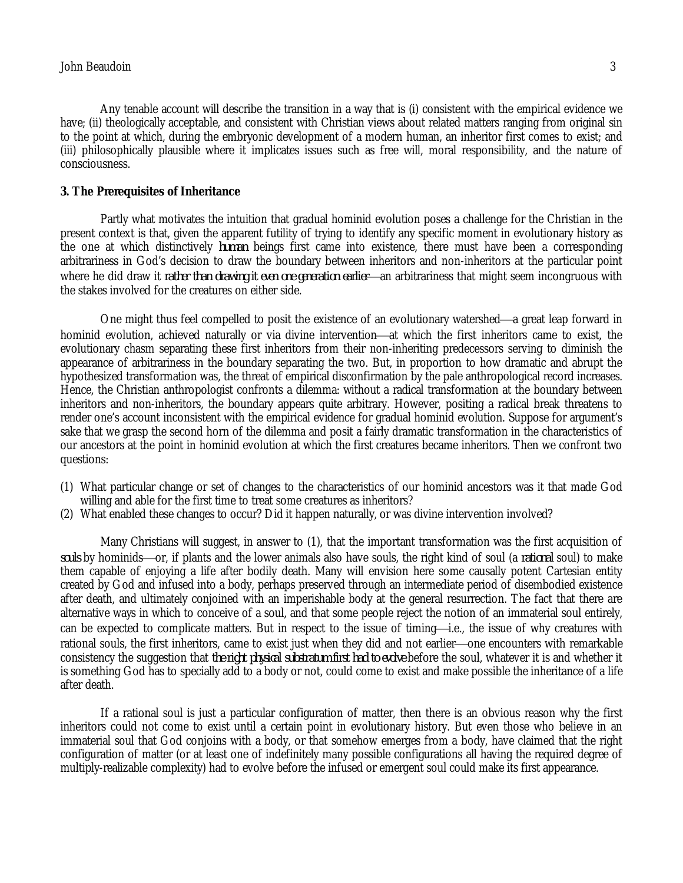Any tenable account will describe the transition in a way that is (i) consistent with the empirical evidence we have; (ii) theologically acceptable, and consistent with Christian views about related matters ranging from original sin to the point at which, during the embryonic development of a modern human, an inheritor first comes to exist; and (iii) philosophically plausible where it implicates issues such as free will, moral responsibility, and the nature of consciousness.

#### **3. The Prerequisites of Inheritance**

Partly what motivates the intuition that gradual hominid evolution poses a challenge for the Christian in the present context is that, given the apparent futility of trying to identify any specific moment in evolutionary history as the one at which distinctively *human* beings first came into existence, there must have been a corresponding arbitrariness in God's decision to draw the boundary between inheritors and non-inheritors at the particular point where he did draw it *rather than drawing it even one generation earlier*—an arbitrariness that might seem incongruous with the stakes involved for the creatures on either side.

One might thus feel compelled to posit the existence of an evolutionary watershed—a great leap forward in hominid evolution, achieved naturally or via divine intervention—at which the first inheritors came to exist, the evolutionary chasm separating these first inheritors from their non-inheriting predecessors serving to diminish the appearance of arbitrariness in the boundary separating the two. But, in proportion to how dramatic and abrupt the hypothesized transformation was, the threat of empirical disconfirmation by the pale anthropological record increases. Hence, the Christian anthropologist confronts a dilemma: without a radical transformation at the boundary between inheritors and non-inheritors, the boundary appears quite arbitrary. However, positing a radical break threatens to render one's account inconsistent with the empirical evidence for gradual hominid evolution. Suppose for argument's sake that we grasp the second horn of the dilemma and posit a fairly dramatic transformation in the characteristics of our ancestors at the point in hominid evolution at which the first creatures became inheritors. Then we confront two questions:

- (1) What particular change or set of changes to the characteristics of our hominid ancestors was it that made God willing and able for the first time to treat some creatures as inheritors?
- (2) What enabled these changes to occur? Did it happen naturally, or was divine intervention involved?

Many Christians will suggest, in answer to (1), that the important transformation was the first acquisition of souls by hominids—or, if plants and the lower animals also have souls, the right kind of soul (a *rational* soul) to make them capable of enjoying a life after bodily death. Many will envision here some causally potent Cartesian entity created by God and infused into a body, perhaps preserved through an intermediate period of disembodied existence after death, and ultimately conjoined with an imperishable body at the general resurrection. The fact that there are alternative ways in which to conceive of a soul, and that some people reject the notion of an immaterial soul entirely, can be expected to complicate matters. But in respect to the issue of timing—i.e., the issue of why creatures with rational souls, the first inheritors, came to exist just when they did and not earlier-one encounters with remarkable consistency the suggestion that *the right physical substratum first had to evolve* before the soul, whatever it is and whether it is something God has to specially add to a body or not, could come to exist and make possible the inheritance of a life after death.

If a rational soul is just a particular configuration of matter, then there is an obvious reason why the first inheritors could not come to exist until a certain point in evolutionary history. But even those who believe in an immaterial soul that God conjoins with a body, or that somehow emerges from a body, have claimed that the right configuration of matter (or at least one of indefinitely many possible configurations all having the required degree of multiply-realizable complexity) had to evolve before the infused or emergent soul could make its first appearance.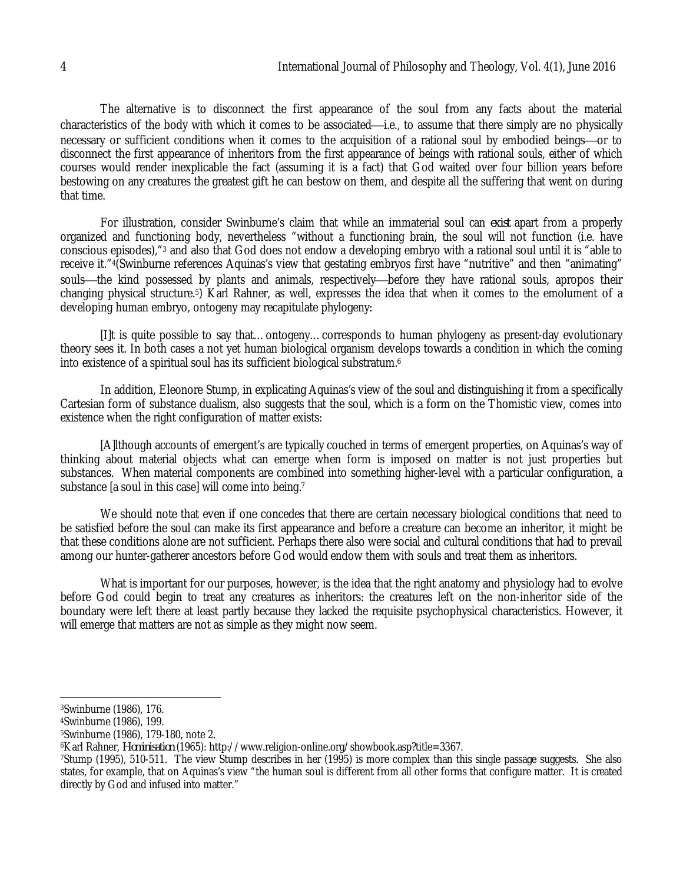The alternative is to disconnect the first appearance of the soul from any facts about the material characteristics of the body with which it comes to be associated—i.e., to assume that there simply are no physically necessary or sufficient conditions when it comes to the acquisition of a rational soul by embodied beings—or to disconnect the first appearance of inheritors from the first appearance of beings with rational souls, either of which courses would render inexplicable the fact (assuming it is a fact) that God waited over four billion years before bestowing on any creatures the greatest gift he can bestow on them, and despite all the suffering that went on during that time.

For illustration, consider Swinburne's claim that while an immaterial soul can *exist* apart from a properly organized and functioning body, nevertheless "without a functioning brain, the soul will not function (i.e. have conscious episodes),"<sup>3</sup> and also that God does not endow a developing embryo with a rational soul until it is "able to receive it."4(Swinburne references Aquinas's view that gestating embryos first have "nutritive" and then "animating" souls—the kind possessed by plants and animals, respectively—before they have rational souls, apropos their changing physical structure.5) Karl Rahner, as well, expresses the idea that when it comes to the emolument of a developing human embryo, ontogeny may recapitulate phylogeny:

[I]t is quite possible to say that…ontogeny…corresponds to human phylogeny as present-day evolutionary theory sees it. In both cases a not yet human biological organism develops towards a condition in which the coming into existence of a spiritual soul has its sufficient biological substratum.<sup>6</sup>

In addition, Eleonore Stump, in explicating Aquinas's view of the soul and distinguishing it from a specifically Cartesian form of substance dualism, also suggests that the soul, which is a form on the Thomistic view, comes into existence when the right configuration of matter exists:

[A]lthough accounts of emergent's are typically couched in terms of emergent properties, on Aquinas's way of thinking about material objects what can emerge when form is imposed on matter is not just properties but substances. When material components are combined into something higher-level with a particular configuration, a substance [a soul in this case] will come into being.<sup>7</sup>

We should note that even if one concedes that there are certain necessary biological conditions that need to be satisfied before the soul can make its first appearance and before a creature can become an inheritor, it might be that these conditions alone are not sufficient. Perhaps there also were social and cultural conditions that had to prevail among our hunter-gatherer ancestors before God would endow them with souls and treat them as inheritors.

What is important for our purposes, however, is the idea that the right anatomy and physiology had to evolve before God could begin to treat any creatures as inheritors: the creatures left on the non-inheritor side of the boundary were left there at least partly because they lacked the requisite psychophysical characteristics. However, it will emerge that matters are not as simple as they might now seem.

 $\overline{a}$ 

<sup>3</sup>Swinburne (1986), 176.

<sup>4</sup>Swinburne (1986), 199.

<sup>5</sup>Swinburne (1986), 179-180, note 2.

<sup>6</sup>Karl Rahner, *Hominisation* (1965): http://www.religion-online.org/showbook.asp?title=3367.

<sup>7</sup>Stump (1995), 510-511. The view Stump describes in her (1995) is more complex than this single passage suggests. She also states, for example, that on Aquinas's view "the human soul is different from all other forms that configure matter. It is created directly by God and infused into matter."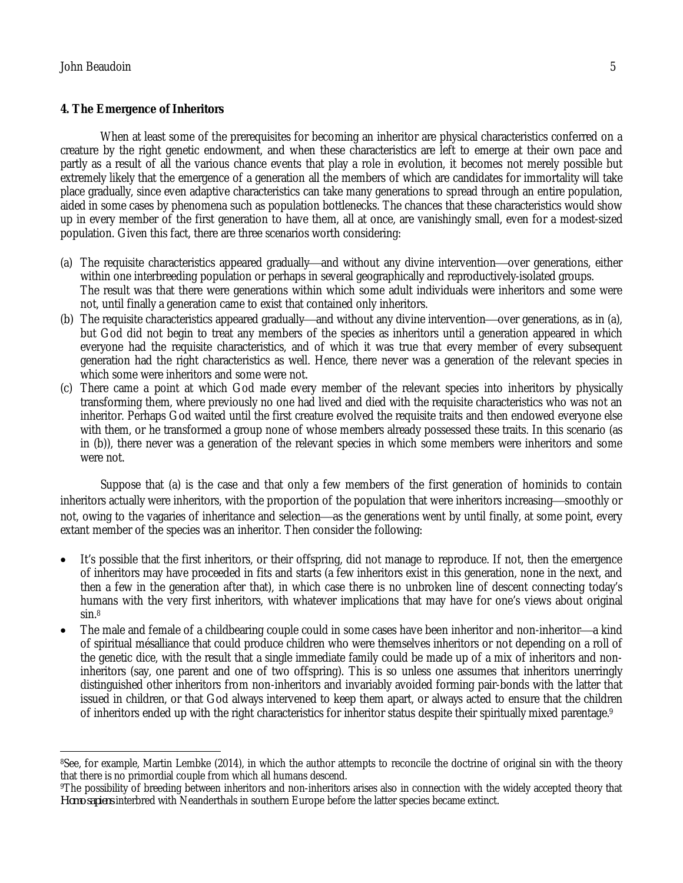# **4. The Emergence of Inheritors**

When at least some of the prerequisites for becoming an inheritor are physical characteristics conferred on a creature by the right genetic endowment, and when these characteristics are left to emerge at their own pace and partly as a result of all the various chance events that play a role in evolution, it becomes not merely possible but extremely likely that the emergence of a generation all the members of which are candidates for immortality will take place gradually, since even adaptive characteristics can take many generations to spread through an entire population, aided in some cases by phenomena such as population bottlenecks. The chances that these characteristics would show up in every member of the first generation to have them, all at once, are vanishingly small, even for a modest-sized population. Given this fact, there are three scenarios worth considering:

- (a) The requisite characteristics appeared gradually—and without any divine intervention—over generations, either within one interbreeding population or perhaps in several geographically and reproductively-isolated groups. The result was that there were generations within which some adult individuals were inheritors and some were not, until finally a generation came to exist that contained only inheritors.
- (b) The requisite characteristics appeared gradually—and without any divine intervention—over generations, as in (a), but God did not begin to treat any members of the species as inheritors until a generation appeared in which everyone had the requisite characteristics, and of which it was true that every member of every subsequent generation had the right characteristics as well. Hence, there never was a generation of the relevant species in which some were inheritors and some were not.
- (c) There came a point at which God made every member of the relevant species into inheritors by physically transforming them, where previously no one had lived and died with the requisite characteristics who was not an inheritor. Perhaps God waited until the first creature evolved the requisite traits and then endowed everyone else with them, or he transformed a group none of whose members already possessed these traits. In this scenario (as in (b)), there never was a generation of the relevant species in which some members were inheritors and some were not.

Suppose that (a) is the case and that only a few members of the first generation of hominids to contain inheritors actually were inheritors, with the proportion of the population that were inheritors increasing—smoothly or not, owing to the vagaries of inheritance and selection—as the generations went by until finally, at some point, every extant member of the species was an inheritor. Then consider the following:

- It's possible that the first inheritors, or their offspring, did not manage to reproduce. If not, then the emergence of inheritors may have proceeded in fits and starts (a few inheritors exist in this generation, none in the next, and then a few in the generation after that), in which case there is no unbroken line of descent connecting today's humans with the very first inheritors, with whatever implications that may have for one's views about original sin.<sup>8</sup>
- The male and female of a childbearing couple could in some cases have been inheritor and non-inheritor—a kind of spiritual mésalliance that could produce children who were themselves inheritors or not depending on a roll of the genetic dice, with the result that a single immediate family could be made up of a mix of inheritors and noninheritors (say, one parent and one of two offspring). This is so unless one assumes that inheritors unerringly distinguished other inheritors from non-inheritors and invariably avoided forming pair-bonds with the latter that issued in children, or that God always intervened to keep them apart, or always acted to ensure that the children of inheritors ended up with the right characteristics for inheritor status despite their spiritually mixed parentage.<sup>9</sup>

 $\overline{a}$ <sup>8</sup>See, for example, Martin Lembke (2014), in which the author attempts to reconcile the doctrine of original sin with the theory that there is no primordial couple from which all humans descend.

<sup>9</sup>The possibility of breeding between inheritors and non-inheritors arises also in connection with the widely accepted theory that *Homo sapiens* interbred with Neanderthals in southern Europe before the latter species became extinct.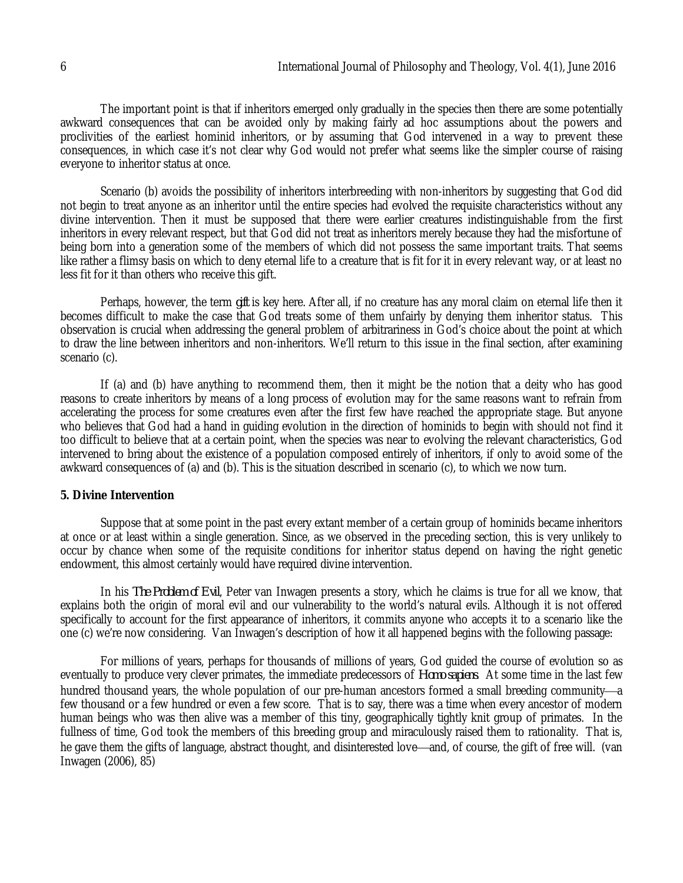The important point is that if inheritors emerged only gradually in the species then there are some potentially awkward consequences that can be avoided only by making fairly ad hoc assumptions about the powers and proclivities of the earliest hominid inheritors, or by assuming that God intervened in a way to prevent these consequences, in which case it's not clear why God would not prefer what seems like the simpler course of raising everyone to inheritor status at once.

Scenario (b) avoids the possibility of inheritors interbreeding with non-inheritors by suggesting that God did not begin to treat anyone as an inheritor until the entire species had evolved the requisite characteristics without any divine intervention. Then it must be supposed that there were earlier creatures indistinguishable from the first inheritors in every relevant respect, but that God did not treat as inheritors merely because they had the misfortune of being born into a generation some of the members of which did not possess the same important traits. That seems like rather a flimsy basis on which to deny eternal life to a creature that is fit for it in every relevant way, or at least no less fit for it than others who receive this gift.

Perhaps, however, the term *gift* is key here. After all, if no creature has any moral claim on eternal life then it becomes difficult to make the case that God treats some of them unfairly by denying them inheritor status. This observation is crucial when addressing the general problem of arbitrariness in God's choice about the point at which to draw the line between inheritors and non-inheritors. We'll return to this issue in the final section, after examining scenario (c).

If (a) and (b) have anything to recommend them, then it might be the notion that a deity who has good reasons to create inheritors by means of a long process of evolution may for the same reasons want to refrain from accelerating the process for some creatures even after the first few have reached the appropriate stage. But anyone who believes that God had a hand in guiding evolution in the direction of hominids to begin with should not find it too difficult to believe that at a certain point, when the species was near to evolving the relevant characteristics, God intervened to bring about the existence of a population composed entirely of inheritors, if only to avoid some of the awkward consequences of (a) and (b). This is the situation described in scenario (c), to which we now turn.

#### **5. Divine Intervention**

Suppose that at some point in the past every extant member of a certain group of hominids became inheritors at once or at least within a single generation. Since, as we observed in the preceding section, this is very unlikely to occur by chance when some of the requisite conditions for inheritor status depend on having the right genetic endowment, this almost certainly would have required divine intervention.

In his *The Problem of Evil*, Peter van Inwagen presents a story, which he claims is true for all we know, that explains both the origin of moral evil and our vulnerability to the world's natural evils. Although it is not offered specifically to account for the first appearance of inheritors, it commits anyone who accepts it to a scenario like the one (c) we're now considering. Van Inwagen's description of how it all happened begins with the following passage:

For millions of years, perhaps for thousands of millions of years, God guided the course of evolution so as eventually to produce very clever primates, the immediate predecessors of *Homo sapiens*. At some time in the last few hundred thousand years, the whole population of our pre-human ancestors formed a small breeding community—a few thousand or a few hundred or even a few score. That is to say, there was a time when every ancestor of modern human beings who was then alive was a member of this tiny, geographically tightly knit group of primates. In the fullness of time, God took the members of this breeding group and miraculously raised them to rationality. That is, he gave them the gifts of language, abstract thought, and disinterested love—and, of course, the gift of free will. (van Inwagen (2006), 85)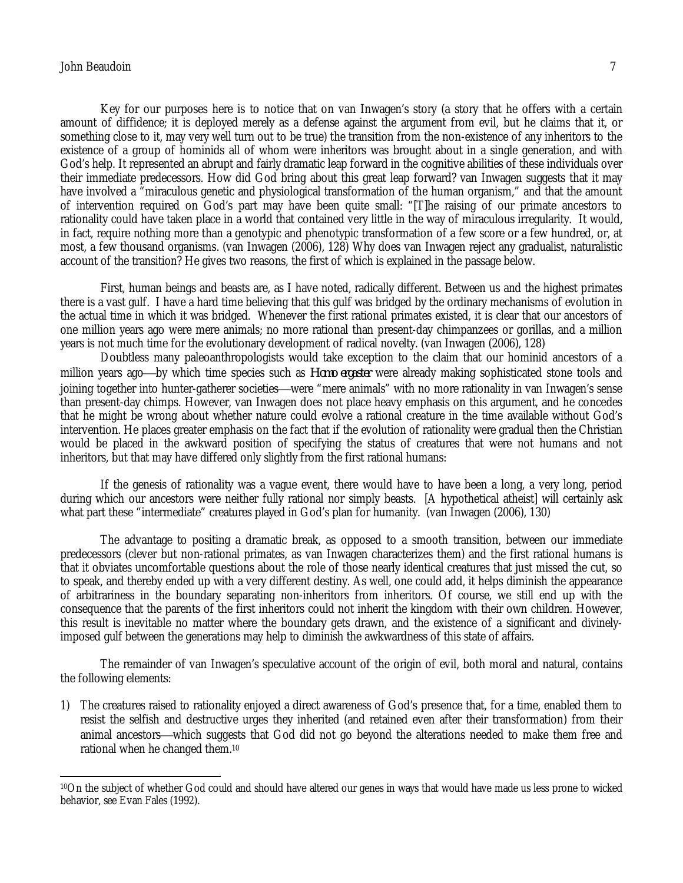### John Beaudoin 7

 $\overline{a}$ 

Key for our purposes here is to notice that on van Inwagen's story (a story that he offers with a certain amount of diffidence; it is deployed merely as a defense against the argument from evil, but he claims that it, or something close to it, may very well turn out to be true) the transition from the non-existence of any inheritors to the existence of a group of hominids all of whom were inheritors was brought about in a single generation, and with God's help. It represented an abrupt and fairly dramatic leap forward in the cognitive abilities of these individuals over their immediate predecessors. How did God bring about this great leap forward? van Inwagen suggests that it may have involved a "miraculous genetic and physiological transformation of the human organism," and that the amount of intervention required on God's part may have been quite small: "[T]he raising of our primate ancestors to rationality could have taken place in a world that contained very little in the way of miraculous irregularity. It would, in fact, require nothing more than a genotypic and phenotypic transformation of a few score or a few hundred, or, at most, a few thousand organisms. (van Inwagen (2006), 128) Why does van Inwagen reject any gradualist, naturalistic account of the transition? He gives two reasons, the first of which is explained in the passage below.

First, human beings and beasts are, as I have noted, radically different. Between us and the highest primates there is a vast gulf. I have a hard time believing that this gulf was bridged by the ordinary mechanisms of evolution in the actual time in which it was bridged. Whenever the first rational primates existed, it is clear that our ancestors of one million years ago were mere animals; no more rational than present-day chimpanzees or gorillas, and a million years is not much time for the evolutionary development of radical novelty. (van Inwagen (2006), 128)

Doubtless many paleoanthropologists would take exception to the claim that our hominid ancestors of a million years ago—by which time species such as *Homo ergaster* were already making sophisticated stone tools and joining together into hunter-gatherer societies—were "mere animals" with no more rationality in van Inwagen's sense than present-day chimps. However, van Inwagen does not place heavy emphasis on this argument, and he concedes that he might be wrong about whether nature could evolve a rational creature in the time available without God's intervention. He places greater emphasis on the fact that if the evolution of rationality were gradual then the Christian would be placed in the awkward position of specifying the status of creatures that were not humans and not inheritors, but that may have differed only slightly from the first rational humans:

If the genesis of rationality was a vague event, there would have to have been a long, a very long, period during which our ancestors were neither fully rational nor simply beasts. [A hypothetical atheist] will certainly ask what part these "intermediate" creatures played in God's plan for humanity. (van Inwagen (2006), 130)

The advantage to positing a dramatic break, as opposed to a smooth transition, between our immediate predecessors (clever but non-rational primates, as van Inwagen characterizes them) and the first rational humans is that it obviates uncomfortable questions about the role of those nearly identical creatures that just missed the cut, so to speak, and thereby ended up with a very different destiny. As well, one could add, it helps diminish the appearance of arbitrariness in the boundary separating non-inheritors from inheritors. Of course, we still end up with the consequence that the parents of the first inheritors could not inherit the kingdom with their own children. However, this result is inevitable no matter where the boundary gets drawn, and the existence of a significant and divinelyimposed gulf between the generations may help to diminish the awkwardness of this state of affairs.

The remainder of van Inwagen's speculative account of the origin of evil, both moral and natural, contains the following elements:

1) The creatures raised to rationality enjoyed a direct awareness of God's presence that, for a time, enabled them to resist the selfish and destructive urges they inherited (and retained even after their transformation) from their animal ancestors—which suggests that God did not go beyond the alterations needed to make them free and rational when he changed them.<sup>10</sup>

<sup>10</sup>On the subject of whether God could and should have altered our genes in ways that would have made us less prone to wicked behavior, see Evan Fales (1992).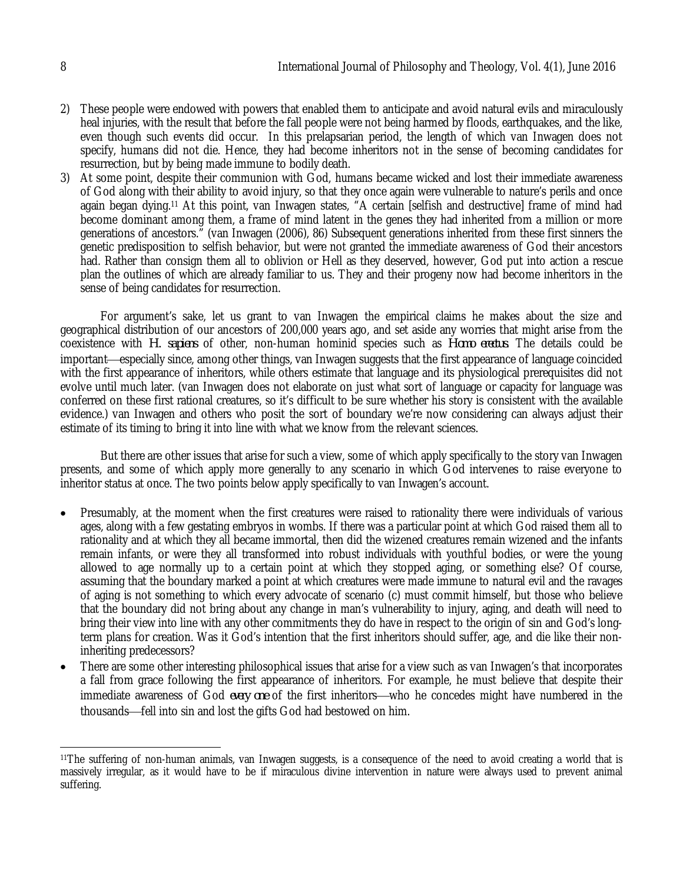- 2) These people were endowed with powers that enabled them to anticipate and avoid natural evils and miraculously heal injuries, with the result that before the fall people were not being harmed by floods, earthquakes, and the like, even though such events did occur. In this prelapsarian period, the length of which van Inwagen does not specify, humans did not die. Hence, they had become inheritors not in the sense of becoming candidates for resurrection, but by being made immune to bodily death.
- 3) At some point, despite their communion with God, humans became wicked and lost their immediate awareness of God along with their ability to avoid injury, so that they once again were vulnerable to nature's perils and once again began dying.<sup>11</sup> At this point, van Inwagen states, "A certain [selfish and destructive] frame of mind had become dominant among them, a frame of mind latent in the genes they had inherited from a million or more generations of ancestors." (van Inwagen (2006), 86) Subsequent generations inherited from these first sinners the genetic predisposition to selfish behavior, but were not granted the immediate awareness of God their ancestors had. Rather than consign them all to oblivion or Hell as they deserved, however, God put into action a rescue plan the outlines of which are already familiar to us. They and their progeny now had become inheritors in the sense of being candidates for resurrection.

For argument's sake, let us grant to van Inwagen the empirical claims he makes about the size and geographical distribution of our ancestors of 200,000 years ago, and set aside any worries that might arise from the coexistence with *H. sapiens* of other, non-human hominid species such as *Homo erectus*. The details could be important—especially since, among other things, van Inwagen suggests that the first appearance of language coincided with the first appearance of inheritors, while others estimate that language and its physiological prerequisites did not evolve until much later. (van Inwagen does not elaborate on just what sort of language or capacity for language was conferred on these first rational creatures, so it's difficult to be sure whether his story is consistent with the available evidence.) van Inwagen and others who posit the sort of boundary we're now considering can always adjust their estimate of its timing to bring it into line with what we know from the relevant sciences.

But there are other issues that arise for such a view, some of which apply specifically to the story van Inwagen presents, and some of which apply more generally to any scenario in which God intervenes to raise everyone to inheritor status at once. The two points below apply specifically to van Inwagen's account.

- Presumably, at the moment when the first creatures were raised to rationality there were individuals of various ages, along with a few gestating embryos in wombs. If there was a particular point at which God raised them all to rationality and at which they all became immortal, then did the wizened creatures remain wizened and the infants remain infants, or were they all transformed into robust individuals with youthful bodies, or were the young allowed to age normally up to a certain point at which they stopped aging, or something else? Of course, assuming that the boundary marked a point at which creatures were made immune to natural evil and the ravages of aging is not something to which every advocate of scenario (c) must commit himself, but those who believe that the boundary did not bring about any change in man's vulnerability to injury, aging, and death will need to bring their view into line with any other commitments they do have in respect to the origin of sin and God's longterm plans for creation. Was it God's intention that the first inheritors should suffer, age, and die like their noninheriting predecessors?
- There are some other interesting philosophical issues that arise for a view such as van Inwagen's that incorporates a fall from grace following the first appearance of inheritors. For example, he must believe that despite their immediate awareness of God *every one* of the first inheritors—who he concedes might have numbered in the thousands—fell into sin and lost the gifts God had bestowed on him.

 $\overline{\phantom{a}}$ <sup>11</sup>The suffering of non-human animals, van Inwagen suggests, is a consequence of the need to avoid creating a world that is massively irregular, as it would have to be if miraculous divine intervention in nature were always used to prevent animal suffering.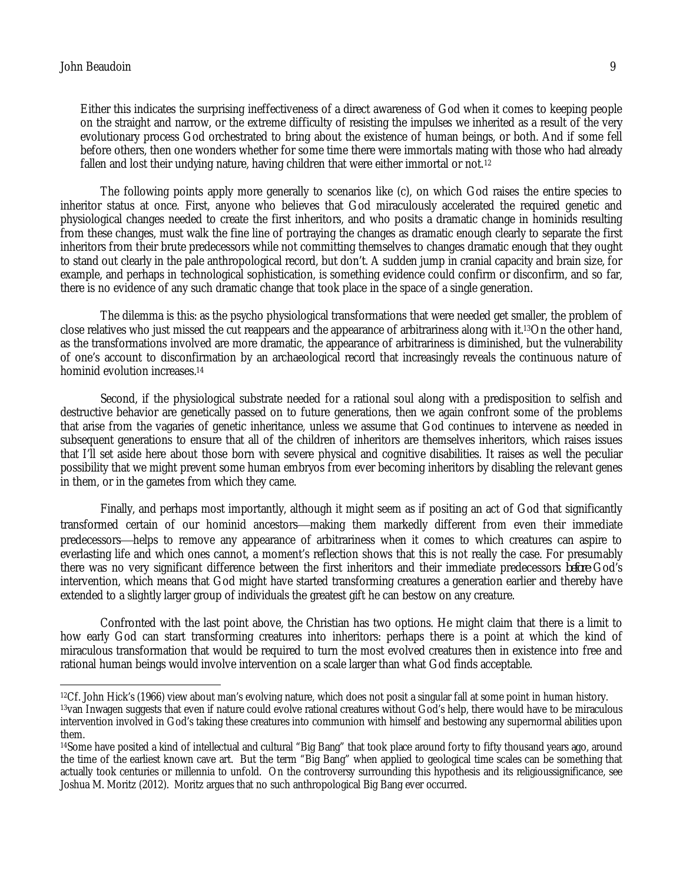$\overline{a}$ 

Either this indicates the surprising ineffectiveness of a direct awareness of God when it comes to keeping people on the straight and narrow, or the extreme difficulty of resisting the impulses we inherited as a result of the very evolutionary process God orchestrated to bring about the existence of human beings, or both. And if some fell before others, then one wonders whether for some time there were immortals mating with those who had already fallen and lost their undying nature, having children that were either immortal or not.<sup>12</sup>

The following points apply more generally to scenarios like (c), on which God raises the entire species to inheritor status at once. First, anyone who believes that God miraculously accelerated the required genetic and physiological changes needed to create the first inheritors, and who posits a dramatic change in hominids resulting from these changes, must walk the fine line of portraying the changes as dramatic enough clearly to separate the first inheritors from their brute predecessors while not committing themselves to changes dramatic enough that they ought to stand out clearly in the pale anthropological record, but don't. A sudden jump in cranial capacity and brain size, for example, and perhaps in technological sophistication, is something evidence could confirm or disconfirm, and so far, there is no evidence of any such dramatic change that took place in the space of a single generation.

The dilemma is this: as the psycho physiological transformations that were needed get smaller, the problem of close relatives who just missed the cut reappears and the appearance of arbitrariness along with it.13On the other hand, as the transformations involved are more dramatic, the appearance of arbitrariness is diminished, but the vulnerability of one's account to disconfirmation by an archaeological record that increasingly reveals the continuous nature of hominid evolution increases.<sup>14</sup>

Second, if the physiological substrate needed for a rational soul along with a predisposition to selfish and destructive behavior are genetically passed on to future generations, then we again confront some of the problems that arise from the vagaries of genetic inheritance, unless we assume that God continues to intervene as needed in subsequent generations to ensure that all of the children of inheritors are themselves inheritors, which raises issues that I'll set aside here about those born with severe physical and cognitive disabilities. It raises as well the peculiar possibility that we might prevent some human embryos from ever becoming inheritors by disabling the relevant genes in them, or in the gametes from which they came.

Finally, and perhaps most importantly, although it might seem as if positing an act of God that significantly transformed certain of our hominid ancestors—making them markedly different from even their immediate predecessors—helps to remove any appearance of arbitrariness when it comes to which creatures can aspire to everlasting life and which ones cannot, a moment's reflection shows that this is not really the case. For presumably there was no very significant difference between the first inheritors and their immediate predecessors *before* God's intervention, which means that God might have started transforming creatures a generation earlier and thereby have extended to a slightly larger group of individuals the greatest gift he can bestow on any creature.

Confronted with the last point above, the Christian has two options. He might claim that there is a limit to how early God can start transforming creatures into inheritors: perhaps there is a point at which the kind of miraculous transformation that would be required to turn the most evolved creatures then in existence into free and rational human beings would involve intervention on a scale larger than what God finds acceptable.

<sup>12</sup>Cf. John Hick's (1966) view about man's evolving nature, which does not posit a singular fall at some point in human history. <sup>13</sup> van Inwagen suggests that even if nature could evolve rational creatures without God's help, there would have to be miraculous intervention involved in God's taking these creatures into communion with himself and bestowing any supernormal abilities upon them.

<sup>&</sup>lt;sup>14</sup>Some have posited a kind of intellectual and cultural "Big Bang" that took place around forty to fifty thousand years ago, around the time of the earliest known cave art. But the term "Big Bang" when applied to geological time scales can be something that actually took centuries or millennia to unfold. On the controversy surrounding this hypothesis and its religioussignificance, see Joshua M. Moritz (2012). Moritz argues that no such anthropological Big Bang ever occurred.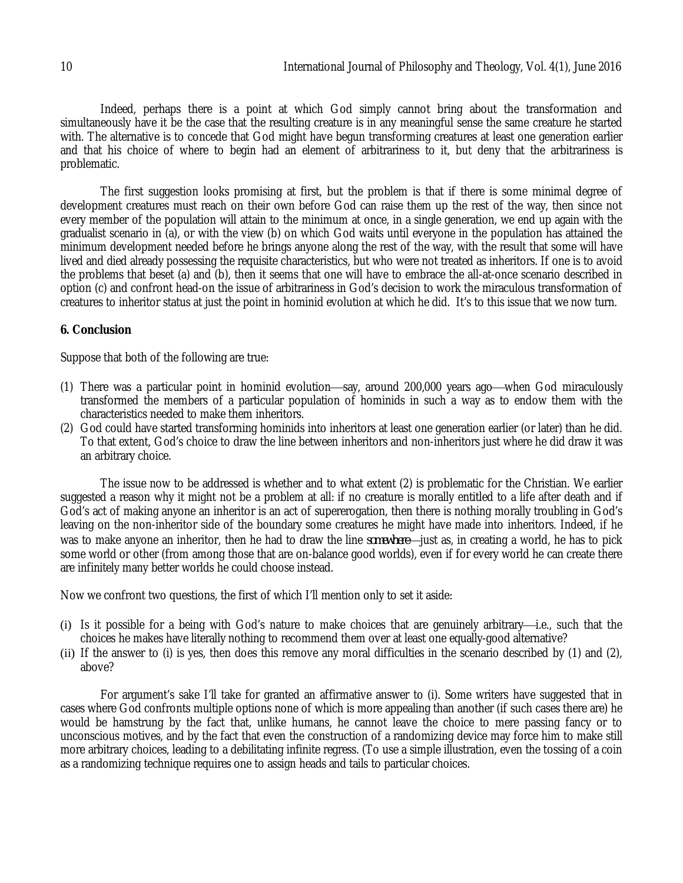Indeed, perhaps there is a point at which God simply cannot bring about the transformation and simultaneously have it be the case that the resulting creature is in any meaningful sense the same creature he started with. The alternative is to concede that God might have begun transforming creatures at least one generation earlier and that his choice of where to begin had an element of arbitrariness to it, but deny that the arbitrariness is problematic.

The first suggestion looks promising at first, but the problem is that if there is some minimal degree of development creatures must reach on their own before God can raise them up the rest of the way, then since not every member of the population will attain to the minimum at once, in a single generation, we end up again with the gradualist scenario in (a), or with the view (b) on which God waits until everyone in the population has attained the minimum development needed before he brings anyone along the rest of the way, with the result that some will have lived and died already possessing the requisite characteristics, but who were not treated as inheritors. If one is to avoid the problems that beset (a) and (b), then it seems that one will have to embrace the all-at-once scenario described in option (c) and confront head-on the issue of arbitrariness in God's decision to work the miraculous transformation of creatures to inheritor status at just the point in hominid evolution at which he did. It's to this issue that we now turn.

# **6. Conclusion**

Suppose that both of the following are true:

- (1) There was a particular point in hominid evolution—say, around 200,000 years ago—when God miraculously transformed the members of a particular population of hominids in such a way as to endow them with the characteristics needed to make them inheritors.
- (2) God could have started transforming hominids into inheritors at least one generation earlier (or later) than he did. To that extent, God's choice to draw the line between inheritors and non-inheritors just where he did draw it was an arbitrary choice.

The issue now to be addressed is whether and to what extent (2) is problematic for the Christian. We earlier suggested a reason why it might not be a problem at all: if no creature is morally entitled to a life after death and if God's act of making anyone an inheritor is an act of supererogation, then there is nothing morally troubling in God's leaving on the non-inheritor side of the boundary some creatures he might have made into inheritors. Indeed, if he was to make anyone an inheritor, then he had to draw the line *somewhere* just as, in creating a world, he has to pick some world or other (from among those that are on-balance good worlds), even if for every world he can create there are infinitely many better worlds he could choose instead.

Now we confront two questions, the first of which I'll mention only to set it aside:

- (i) Is it possible for a being with God's nature to make choices that are genuinely arbitrary—i.e., such that the choices he makes have literally nothing to recommend them over at least one equally-good alternative?
- (ii) If the answer to (i) is yes, then does this remove any moral difficulties in the scenario described by (1) and (2), above?

For argument's sake I'll take for granted an affirmative answer to (i). Some writers have suggested that in cases where God confronts multiple options none of which is more appealing than another (if such cases there are) he would be hamstrung by the fact that, unlike humans, he cannot leave the choice to mere passing fancy or to unconscious motives, and by the fact that even the construction of a randomizing device may force him to make still more arbitrary choices, leading to a debilitating infinite regress. (To use a simple illustration, even the tossing of a coin as a randomizing technique requires one to assign heads and tails to particular choices.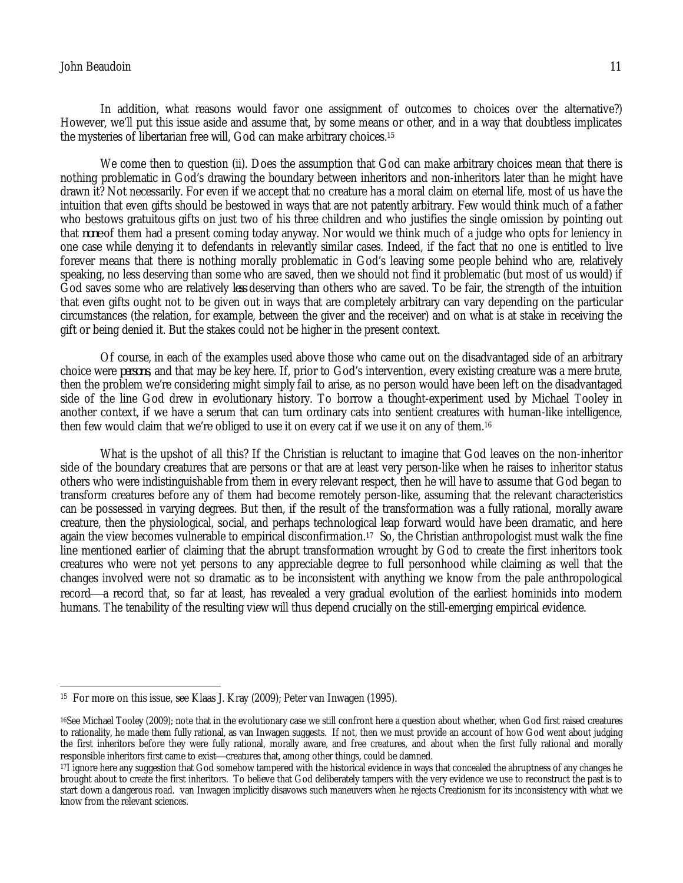# John Beaudoin 11

In addition, what reasons would favor one assignment of outcomes to choices over the alternative?) However, we'll put this issue aside and assume that, by some means or other, and in a way that doubtless implicates the mysteries of libertarian free will, God can make arbitrary choices.<sup>15</sup>

We come then to question (ii). Does the assumption that God can make arbitrary choices mean that there is nothing problematic in God's drawing the boundary between inheritors and non-inheritors later than he might have drawn it? Not necessarily. For even if we accept that no creature has a moral claim on eternal life, most of us have the intuition that even gifts should be bestowed in ways that are not patently arbitrary. Few would think much of a father who bestows gratuitous gifts on just two of his three children and who justifies the single omission by pointing out that *none* of them had a present coming today anyway. Nor would we think much of a judge who opts for leniency in one case while denying it to defendants in relevantly similar cases. Indeed, if the fact that no one is entitled to live forever means that there is nothing morally problematic in God's leaving some people behind who are, relatively speaking, no less deserving than some who are saved, then we should not find it problematic (but most of us would) if God saves some who are relatively *less* deserving than others who are saved. To be fair, the strength of the intuition that even gifts ought not to be given out in ways that are completely arbitrary can vary depending on the particular circumstances (the relation, for example, between the giver and the receiver) and on what is at stake in receiving the gift or being denied it. But the stakes could not be higher in the present context.

Of course, in each of the examples used above those who came out on the disadvantaged side of an arbitrary choice were *persons*, and that may be key here. If, prior to God's intervention, every existing creature was a mere brute, then the problem we're considering might simply fail to arise, as no person would have been left on the disadvantaged side of the line God drew in evolutionary history. To borrow a thought-experiment used by Michael Tooley in another context, if we have a serum that can turn ordinary cats into sentient creatures with human-like intelligence, then few would claim that we're obliged to use it on every cat if we use it on any of them.<sup>16</sup>

What is the upshot of all this? If the Christian is reluctant to imagine that God leaves on the non-inheritor side of the boundary creatures that are persons or that are at least very person-like when he raises to inheritor status others who were indistinguishable from them in every relevant respect, then he will have to assume that God began to transform creatures before any of them had become remotely person-like, assuming that the relevant characteristics can be possessed in varying degrees. But then, if the result of the transformation was a fully rational, morally aware creature, then the physiological, social, and perhaps technological leap forward would have been dramatic, and here again the view becomes vulnerable to empirical disconfirmation.17 So, the Christian anthropologist must walk the fine line mentioned earlier of claiming that the abrupt transformation wrought by God to create the first inheritors took creatures who were not yet persons to any appreciable degree to full personhood while claiming as well that the changes involved were not so dramatic as to be inconsistent with anything we know from the pale anthropological record—a record that, so far at least, has revealed a very gradual evolution of the earliest hominids into modern humans. The tenability of the resulting view will thus depend crucially on the still-emerging empirical evidence.

 $\overline{a}$ 15 For more on this issue, see Klaas J. Kray (2009); Peter van Inwagen (1995).

<sup>16</sup>See Michael Tooley (2009); note that in the evolutionary case we still confront here a question about whether, when God first raised creatures to rationality, he made them fully rational, as van Inwagen suggests. If not, then we must provide an account of how God went about judging the first inheritors before they were fully rational, morally aware, and free creatures, and about when the first fully rational and morally responsible inheritors first came to exist—creatures that, among other things, could be damned.

<sup>17</sup>I ignore here any suggestion that God somehow tampered with the historical evidence in ways that concealed the abruptness of any changes he brought about to create the first inheritors. To believe that God deliberately tampers with the very evidence we use to reconstruct the past is to start down a dangerous road. van Inwagen implicitly disavows such maneuvers when he rejects Creationism for its inconsistency with what we know from the relevant sciences.